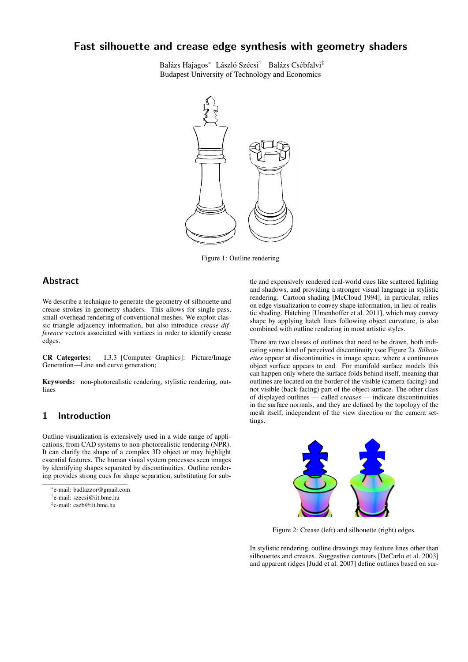# **Fast silhouette and crease edge synthesis with geometry shaders**

Balázs Hajagos\* László Szécsi<sup>†</sup> Balázs Csébfalvi<sup>‡</sup> Budapest University of Technology and Economics



Figure 1: Outline rendering

# **Abstract**

We describe a technique to generate the geometry of silhouette and crease strokes in geometry shaders. This allows for single-pass, small-overhead rendering of conventional meshes. We exploit classic triangle adjacency information, but also introduce *crease difference* vectors associated with vertices in order to identify crease edges.

CR Categories: I.3.3 [Computer Graphics]: Picture/Image Generation—Line and curve generation;

Keywords: non-photorealistic rendering, stylistic rendering, outlines

### **1 Introduction**

Outline visualization is extensively used in a wide range of applications, from CAD systems to non-photorealistic rendering (NPR). It can clarify the shape of a complex 3D object or may highlight essential features. The human visual system processes seen images by identifying shapes separated by discontinuities. Outline rendering provides strong cues for shape separation, substituting for subtle and expensively rendered real-world cues like scattered lighting and shadows, and providing a stronger visual language in stylistic rendering. Cartoon shading [McCloud 1994], in particular, relies on edge visualization to convey shape information, in lieu of realistic shading. Hatching [Umenhoffer et al. 2011], which may convey shape by applying hatch lines following object curvature, is also combined with outline rendering in most artistic styles.

There are two classes of outlines that need to be drawn, both indicating some kind of perceived discontinuity (see Figure 2). *Silhouettes* appear at discontinuities in image space, where a continuous object surface appears to end. For manifold surface models this can happen only where the surface folds behind itself, meaning that outlines are located on the border of the visible (camera-facing) and not visible (back-facing) part of the object surface. The other class of displayed outlines — called *creases* — indicate discontinuities in the surface normals, and they are defined by the topology of the mesh itself, independent of the view direction or the camera settings.



Figure 2: Crease (left) and silhouette (right) edges.

In stylistic rendering, outline drawings may feature lines other than silhouettes and creases. Suggestive contours [DeCarlo et al. 2003] and apparent ridges [Judd et al. 2007] define outlines based on sur-

*<sup>∗</sup>* e-mail: badlazzor@gmail.com

<sup>†</sup> e-mail: szecsi@iit.bme.hu

<sup>‡</sup> e-mail: cseb@iit.bme.hu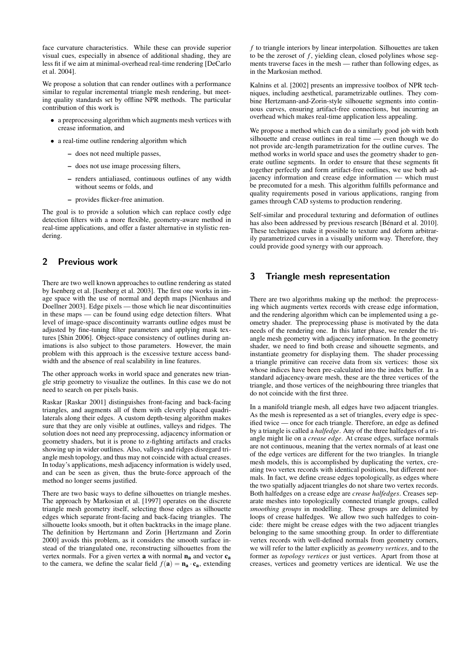face curvature characteristics. While these can provide superior visual cues, especially in absence of additional shading, they are less fit if we aim at minimal-overhead real-time rendering [DeCarlo et al. 2004].

We propose a solution that can render outlines with a performance similar to regular incremental triangle mesh rendering, but meeting quality standards set by offline NPR methods. The particular contribution of this work is

- *•* a preprocessing algorithm which augments mesh vertices with crease information, and
- a real-time outline rendering algorithm which
	- does not need multiple passes,
	- does not use image processing filters,
	- renders antialiased, continuous outlines of any width without seems or folds, and
	- provides flicker-free animation.

The goal is to provide a solution which can replace costly edge detection filters with a more flexible, geometry-aware method in real-time applications, and offer a faster alternative in stylistic rendering.

# **2 Previous work**

There are two well known approaches to outline rendering as stated by Isenberg et al. [Isenberg et al. 2003]. The first one works in image space with the use of normal and depth maps [Nienhaus and Doellner 2003]. Edge pixels — those which lie near discontinuities in these maps — can be found using edge detection filters. What level of image-space discontinuity warrants outline edges must be adjusted by fine-tuning filter parameters and applying mask textures [Shin 2006]. Object-space consistency of outlines during animations is also subject to those parameters. However, the main problem with this approach is the excessive texture access bandwidth and the absence of real scalability in line features.

The other approach works in world space and generates new triangle strip geometry to visualize the outlines. In this case we do not need to search on per pixels basis.

Raskar [Raskar 2001] distinguishes front-facing and back-facing triangles, and augments all of them with cleverly placed quadrilaterals along their edges. A custom depth-tesing algorithm makes sure that they are only visible at outlines, valleys and ridges. The solution does not need any preprocessing, adjacency information or geometry shaders, but it is prone to z-fighting artifacts and cracks showing up in wider outlines. Also, valleys and ridges disregard triangle mesh topology, and thus may not coincide with actual creases. In today's applications, mesh adjacency information is widely used, and can be seen as given, thus the brute-force approach of the method no longer seems justified.

There are two basic ways to define silhouettes on triangle meshes. The approach by Markosian et al. [1997] operates on the discrete triangle mesh geometry itself, selecting those edges as silhouette edges which separate front-facing and back-facing triangles. The silhouette looks smooth, but it often backtracks in the image plane. The definition by Hertzmann and Zorin [Hertzmann and Zorin 2000] avoids this problem, as it considers the smooth surface instead of the triangulated one, reconstructing silhouettes from the vertex normals. For a given vertex **a** with normal  $n_a$  and vector  $c_a$ to the camera, we define the scalar field  $f(\mathbf{a}) = \mathbf{n}_{\mathbf{a}} \cdot \mathbf{c}_{\mathbf{a}}$ , extending

*f* to triangle interiors by linear interpolation. Silhouettes are taken to be the zeroset of *f*, yielding clean, closed polylines whose segments traverse faces in the mesh — rather than following edges, as in the Markosian method.

Kalnins et al. [2002] presents an impressive toolbox of NPR techniques, including aesthetical, parametrizable outlines. They combine Hertzmann-and-Zorin-style silhouette segments into continuous curves, ensuring artifact-free connections, but incurring an overhead which makes real-time application less appealing.

We propose a method which can do a similarly good job with both silhouette and crease outlines in real time — even though we do not provide arc-length parametrization for the outline curves. The method works in world space and uses the geometry shader to generate outline segments. In order to ensure that these segments fit together perfectly and form artifact-free outlines, we use both adjacency information and crease edge information — which must be precomuted for a mesh. This algorithm fulfills peformance and quality requirements posed in various applications, ranging from games through CAD systems to production rendering.

Self-similar and procedural texturing and deformation of outlines has also been addressed by previous research [Bénard et al. 2010]. These techniques make it possible to texture and deform arbitrarily parametrized curves in a visually uniform way. Therefore, they could provide good synergy with our approach.

# **3 Triangle mesh representation**

There are two algorithms making up the method: the preprocessing which augments vertex records with crease edge information, and the rendering algorithm which can be implemented using a geometry shader. The preprocessing phase is motivated by the data needs of the rendering one. In this latter phase, we render the triangle mesh geometry with adjacency information. In the geometry shader, we need to find both crease and sihouette segments, and instantiate geometry for displaying them. The shader processing a triangle primitive can receive data from six vertices: those six whose indices have been pre-calculated into the index buffer. In a standard adjacency-aware mesh, these are the three vertices of the triangle, and those vertices of the neighbouring three triangles that do not coincide with the first three.

In a manifold triangle mesh, all edges have two adjacent triangles. As the mesh is represented as a set of triangles, every edge is specified twice — once for each triangle. Therefore, an edge as defined by a triangle is called a *halfedge*. Any of the three halfedges of a triangle might lie on a *crease edge*. At crease edges, surface normals are not continuous, meaning that the vertex normals of at least one of the edge vertices are different for the two triangles. In triangle mesh models, this is accomplished by duplicating the vertex, creating two vertex records with identical positions, but different normals. In fact, we define crease edges topologically, as edges where the two spatially adjacent triangles do not share two vertex records. Both halfedges on a crease edge are *crease halfedges*. Creases separate meshes into topologically connected triangle groups, called *smoothing groups* in modelling. These groups are delimited by loops of crease halfedges. We allow two such halfedges to coincide: there might be crease edges with the two adjacent triangles belonging to the same smoothing group. In order to differentiate vertex records with well-defined normals from geometry corners, we will refer to the latter explicitly as *geometry vertices*, and to the former as *topology vertices* or just vertices. Apart from those at creases, vertices and geometry vertices are identical. We use the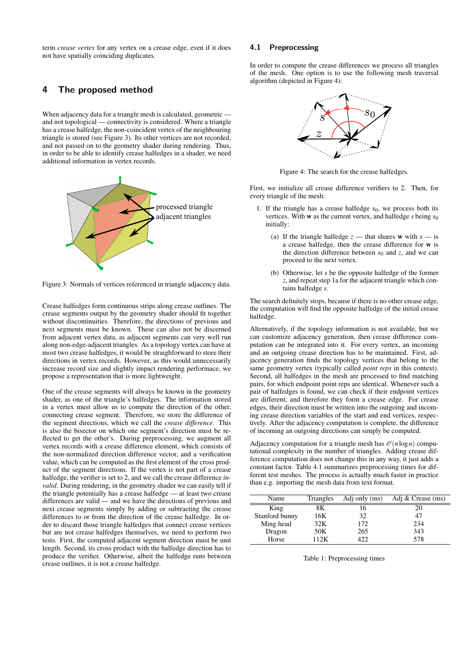term *crease vertex* for any vertex on a crease edge, even if it does not have spatially coinciding duplicates.

### **4 The proposed method**

When adjacency data for a triangle mesh is calculated, geometric and not topological — connectivity is considered. Where a triangle has a crease halfedge, the non-coincident vertex of the neighbouring triangle is stored (see Figure 3). Its other vertices are not recorded, and not passed on to the geometry shader during rendering. Thus, in order to be able to identify crease halfedges in a shader, we need additional information in vertex records.



Figure 3: Normals of vertices referenced in triangle adjacency data.

Crease halfedges form continuous strips along crease outlines. The crease segments output by the geometry shader should fit together without discontinuities. Therefore, the directions of previous and next segments must be known. These can also not be discerned from adjacent vertex data, as adjacent segments can very well run along non-edge-adjacent triangles. As a topology vertex can have at most two crease halfedges, it would be straighforward to store their directions in vertex records. However, as this would unnecessarily increase record size and slightly impact rendering performace, we propose a representation that is more lightweight.

One of the crease segments will always be known in the geometry shader, as one of the triangle's halfedges. The information stored in a vertex must allow us to compute the direction of the other, connecting crease segment. Therefore, we store the difference of the segment directions, which we call the *crease difference*. This is also the bisector on which one segment's direction must be reflected to get the other's. During preprocessing, we augment all vertex records with a crease difference element, which consists of the non-normalized direction difference vector, and a verification value, which can be computed as the first element of the cross product of the segment directions. If the vertex is not part of a crease halfedge, the verifier is set to 2, and we call the crease difference *invalid*. During rendering, in the geometry shader we can easily tell if the triangle potentially has a crease halfedge — at least two crease differences are valid — and we have the directions of previous and next crease segments simply by adding or subtracting the crease differences to or from the direction of the crease halfedge. In order to discard those triangle halfedges that connect crease vertices but are not crease halfedges themselves, we need to perform two tests. First, the computed adjacent segment direction must be unit length. Second, its cross product with the halfedge direction has to produce the verifier. Otherwise, albeit the halfedge runs between crease outlines, it is not a crease halfedge.

#### **4.1 Preprocessing**

In order to compute the crease differences we process all triangles of the mesh. One option is to use the following mesh traversal algorithm (depicted in Figure 4):



Figure 4: The search for the crease halfedges.

First, we initialize all crease difference verifiers to 2. Then, for every triangle of the mesh:

- 1. If the triangle has a crease halfedge  $s_0$ , we process both its vertices. With **w** as the current vertex, and halfedge *s* being  $s<sub>0</sub>$ initially:
	- (a) If the triangle halfedge  $z$  that shares **w** with  $s$  is a crease halfedge, then the crease difference for w is the direction difference between  $s_0$  and  $z$ , and we can proceed to the next vertex.
	- (b) Otherwise, let *s* be the opposite halfedge of the former *z*, and repeat step 1a for the adjacent triangle which contains halfedge *s*.

The search definitely stops, because if there is no other crease edge, the computation will find the opposite halfedge of the initial crease halfedge.

Alternatively, if the topology information is not available, but we can customize adjacency generation, then crease difference computation can be integrated into it. For every vertex, an incoming and an outgoing crease direction has to be maintained. First, adjacency generation finds the topology vertices that belong to the same geometry vertex (typically called *point reps* in this context). Second, all halfedges in the mesh are processed to find matching pairs, for which endpoint point reps are identical. Whenever such a pair of halfedges is found, we can check if their endpoint vertices are different, and therefore they form a crease edge. For crease edges, their direction must be written into the outgoing and incoming crease direction variables of the start and end vertices, respectively. After the adjacency computation is complete, the difference of incoming an outgoing directions can simply be computed.

Adjacency computation for a triangle mesh has  $\mathcal{O}(n \log n)$  computational complexity in the number of triangles. Adding crease difference computation does not change this in any way, it just adds a constant factor. Table 4.1 summarizes preprocessing times for different test meshes. The process is actually much faster in practice than e.g. importing the mesh data from text format.

| Name           | Triangles | Adj only (ms) | Adj $&$ Crease (ms) |
|----------------|-----------|---------------|---------------------|
| King           | 8К        | 16            |                     |
| Stanford bunny | 16K       | 32            | 47                  |
| Ming head      | 32K       | 172           | 234                 |
| Dragon         | 50K       | 265           | 343                 |
| Horse          | 12K       | 422           | 578                 |

Table 1: Preprocessing times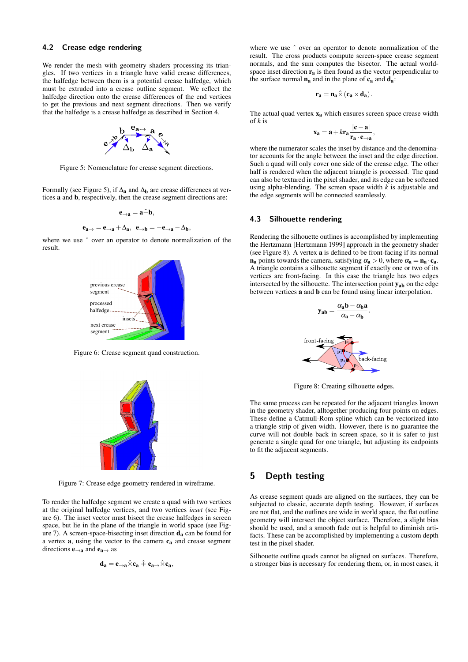#### **4.2 Crease edge rendering**

We render the mesh with geometry shaders processing its triangles. If two vertices in a triangle have valid crease differences, the halfedge between them is a potential crease halfedge, which must be extruded into a crease outline segment. We reflect the halfedge direction onto the crease differences of the end vertices to get the previous and next segment directions. Then we verify that the halfedge is a crease halfedge as described in Section 4.



Figure 5: Nomenclature for crease segment directions.

Formally (see Figure 5), if  $\Delta_{a}$  and  $\Delta_{b}$  are crease differences at vertices a and b, respectively, then the crease segment directions are:

$$
\mathbf{e}_{\rightarrow \mathbf{a}} = \mathbf{a} \hat{-} \mathbf{b},
$$

$$
\mathbf{e}_{\mathbf{a}\to} = \mathbf{e}_{\to\mathbf{a}} + \Delta_{\mathbf{a}}, \ \ \mathbf{e}_{\to\mathbf{b}} = -\mathbf{e}_{\to\mathbf{a}} - \Delta_{\mathbf{b}},
$$

where we use  $\hat{ }$  over an operator to denote normalization of the result.



Figure 6: Crease segment quad construction.



Figure 7: Crease edge geometry rendered in wireframe.

To render the halfedge segment we create a quad with two vertices at the original halfedge vertices, and two vertices *inset* (see Figure 6). The inset vector must bisect the crease halfedges in screen space, but lie in the plane of the triangle in world space (see Figure 7). A screen-space-bisecting inset direction  $\mathbf{d}_a$  can be found for a vertex a, using the vector to the camera ca and crease segment directions e*→*<sup>a</sup> and ea*<sup>→</sup>* as

$$
d_a=e_{\rightarrow a}\hat{\times}c_a\mathrel{\hat{+}} e_{a\rightarrow}\hat{\times}c_a,
$$

where we use  $\hat{ }$  over an operator to denote normalization of the result. The cross products compute screen-space crease segment normals, and the sum computes the bisector. The actual worldspace inset direction  $r_a$  is then found as the vector perpendicular to the surface normal  $n_a$  and in the plane of  $c_a$  and  $d_a$ :

$$
r_a=n_a\hat{\times}(c_a\times d_a)\,.
$$

The actual quad vertex  $x_a$  which ensures screen space crease width of *k* is

$$
\mathbf{x}_\mathbf{a} = \mathbf{a} + k \mathbf{r}_\mathbf{a} \frac{|\mathbf{c} - \mathbf{a}|}{\mathbf{r}_\mathbf{a} \cdot \mathbf{e}_{\rightarrow \mathbf{a}}},
$$

where the numerator scales the inset by distance and the denominator accounts for the angle between the inset and the edge direction. Such a quad will only cover one side of the crease edge. The other half is rendered when the adjacent triangle is processed. The quad can also be textured in the pixel shader, and its edge can be softened using alpha-blending. The screen space width *k* is adjustable and the edge segments will be connected seamlessly.

#### **4.3 Silhouette rendering**

Rendering the silhouette outlines is accomplished by implementing the Hertzmann [Hertzmann 1999] approach in the geometry shader (see Figure 8). A vertex a is defined to be front-facing if its normal  $n_a$  points towards the camera, satisfying  $\alpha_a > 0$ , where  $\alpha_a = n_a \cdot c_a$ . A triangle contains a silhouette segment if exactly one or two of its vertices are front-facing. In this case the triangle has two edges intersected by the silhouette. The intersection point yab on the edge between vertices a and b can be found using linear interpolation.



Figure 8: Creating silhouette edges.

The same process can be repeated for the adjacent triangles known in the geometry shader, alltogether producing four points on edges. These define a Catmull-Rom spline which can be vectorized into a triangle strip of given width. However, there is no guarantee the curve will not double back in screen space, so it is safer to just generate a single quad for one triangle, but adjusting its endpoints to fit the adjacent segments.

#### **5 Depth testing**

As crease segment quads are aligned on the surfaces, they can be subjected to classic, accurate depth testing. However, if surfaces are not flat, and the outlines are wide in world space, the flat outline geometry will intersect the object surface. Therefore, a slight bias should be used, and a smooth fade out is helpful to diminish artifacts. These can be accomplished by implementing a custom depth test in the pixel shader.

Silhouette outline quads cannot be aligned on surfaces. Therefore, a stronger bias is necessary for rendering them, or, in most cases, it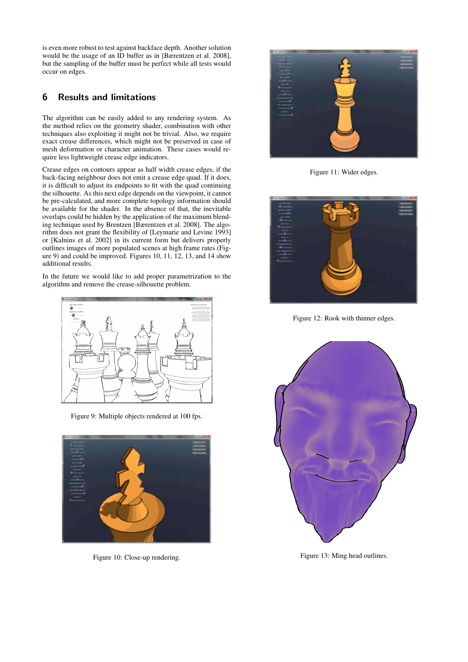is even more robust to test against backface depth. Another solution would be the usage of an ID buffer as in [Bærentzen et al. 2008], but the sampling of the buffer must be perfect while all tests would occur on edges.

# **6 Results and limitations**

The algorithm can be easily added to any rendering system. As the method relies on the geometry shader, combination with other techniques also exploiting it might not be trivial. Also, we require exact crease differences, which might not be preserved in case of mesh deformation or character animation. These cases would require less lightweight crease edge indicators.

Crease edges on contours appear as half width crease edges, if the back-facing neighbour does not emit a crease edge quad. If it does, it is difficult to adjust its endpoints to fit with the quad continuing the silhouette. As this next edge depends on the viewpoint, it cannot be pre-calculated, and more complete topology information should be available for the shader. In the absence of that, the inevitable overlaps could be hidden by the application of the maximum blending technique used by Brentzen [Bærentzen et al. 2008]. The algorithm does not grant the flexibility of [Leymarie and Levine 1993] or [Kalnins et al. 2002] in its current form but delivers properly outlines images of more populated scenes at high frame rates (Figure 9) and could be improved. Figures 10, 11, 12, 13, and 14 show additional results.

In the future we would like to add proper parametrization to the algorithm and remove the crease-silhouette problem.



Figure 9: Multiple objects rendered at 100 fps.



Figure 10: Close-up rendering.



Figure 11: Wider edges.



Figure 12: Rook with thinner edges.



Figure 13: Ming head outlines.